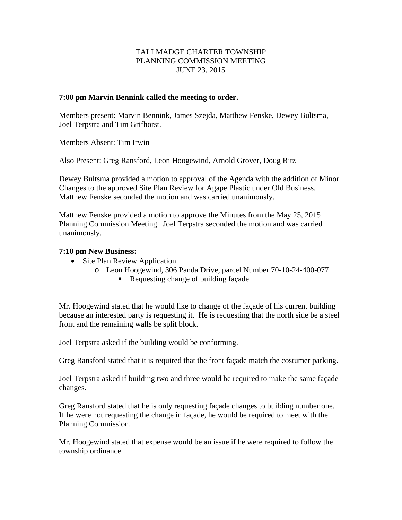# TALLMADGE CHARTER TOWNSHIP PLANNING COMMISSION MEETING JUNE 23, 2015

#### **7:00 pm Marvin Bennink called the meeting to order.**

Members present: Marvin Bennink, James Szejda, Matthew Fenske, Dewey Bultsma, Joel Terpstra and Tim Grifhorst.

Members Absent: Tim Irwin

Also Present: Greg Ransford, Leon Hoogewind, Arnold Grover, Doug Ritz

Dewey Bultsma provided a motion to approval of the Agenda with the addition of Minor Changes to the approved Site Plan Review for Agape Plastic under Old Business. Matthew Fenske seconded the motion and was carried unanimously.

Matthew Fenske provided a motion to approve the Minutes from the May 25, 2015 Planning Commission Meeting. Joel Terpstra seconded the motion and was carried unanimously.

### **7:10 pm New Business:**

- Site Plan Review Application
	- o Leon Hoogewind, 306 Panda Drive, parcel Number 70-10-24-400-077
		- Requesting change of building façade.

Mr. Hoogewind stated that he would like to change of the façade of his current building because an interested party is requesting it. He is requesting that the north side be a steel front and the remaining walls be split block.

Joel Terpstra asked if the building would be conforming.

Greg Ransford stated that it is required that the front façade match the costumer parking.

Joel Terpstra asked if building two and three would be required to make the same façade changes.

Greg Ransford stated that he is only requesting façade changes to building number one. If he were not requesting the change in façade, he would be required to meet with the Planning Commission.

Mr. Hoogewind stated that expense would be an issue if he were required to follow the township ordinance.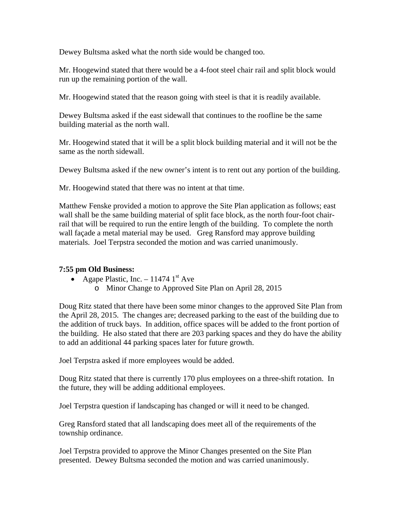Dewey Bultsma asked what the north side would be changed too.

Mr. Hoogewind stated that there would be a 4-foot steel chair rail and split block would run up the remaining portion of the wall.

Mr. Hoogewind stated that the reason going with steel is that it is readily available.

Dewey Bultsma asked if the east sidewall that continues to the roofline be the same building material as the north wall.

Mr. Hoogewind stated that it will be a split block building material and it will not be the same as the north sidewall.

Dewey Bultsma asked if the new owner's intent is to rent out any portion of the building.

Mr. Hoogewind stated that there was no intent at that time.

Matthew Fenske provided a motion to approve the Site Plan application as follows; east wall shall be the same building material of split face block, as the north four-foot chairrail that will be required to run the entire length of the building. To complete the north wall façade a metal material may be used. Greg Ransford may approve building materials. Joel Terpstra seconded the motion and was carried unanimously.

# **7:55 pm Old Business:**

- Agape Plastic, Inc. 11474  $1<sup>st</sup>$  Ave
	- o Minor Change to Approved Site Plan on April 28, 2015

Doug Ritz stated that there have been some minor changes to the approved Site Plan from the April 28, 2015. The changes are; decreased parking to the east of the building due to the addition of truck bays. In addition, office spaces will be added to the front portion of the building. He also stated that there are 203 parking spaces and they do have the ability to add an additional 44 parking spaces later for future growth.

Joel Terpstra asked if more employees would be added.

Doug Ritz stated that there is currently 170 plus employees on a three-shift rotation. In the future, they will be adding additional employees.

Joel Terpstra question if landscaping has changed or will it need to be changed.

Greg Ransford stated that all landscaping does meet all of the requirements of the township ordinance.

Joel Terpstra provided to approve the Minor Changes presented on the Site Plan presented. Dewey Bultsma seconded the motion and was carried unanimously.